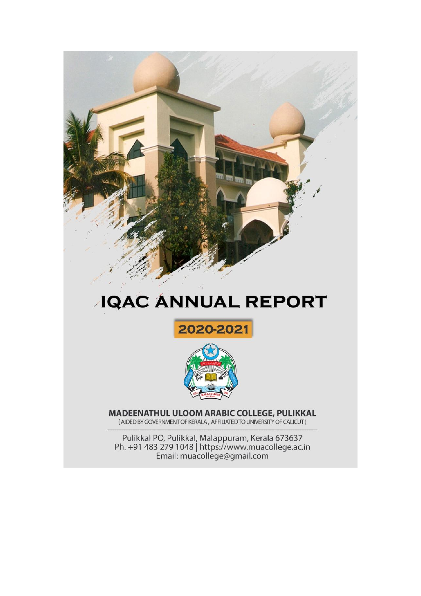

# **JQAC ANNUAL REPORT**





**MADEENATHUL ULOOM ARABIC COLLEGE, PULIKKAL (AIDED BY GOVERNMENT OF KERALA, AFFILIATED TO UNIVERSITY OF CALICUT)** 

Pulikkal PO, Pulikkal, Malappuram, Kerala 673637<br>Ph. +91 483 279 1048 | https://www.muacollege.ac.in<br>Email: muacollege@gmail.com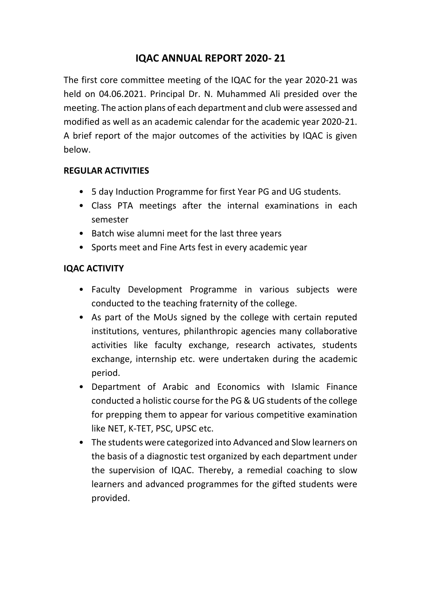## **IQAC ANNUAL REPORT 2020- 21**

The first core committee meeting of the IQAC for the year 2020-21 was held on 04.06.2021. Principal Dr. N. Muhammed Ali presided over the meeting. The action plans of each department and club were assessed and modified as well as an academic calendar for the academic year 2020-21. A brief report of the major outcomes of the activities by IQAC is given below.

#### **REGULAR ACTIVITIES**

- 5 day Induction Programme for first Year PG and UG students.
- Class PTA meetings after the internal examinations in each semester
- Batch wise alumni meet for the last three years
- Sports meet and Fine Arts fest in every academic year

#### **IQAC ACTIVITY**

- Faculty Development Programme in various subjects were conducted to the teaching fraternity of the college.
- As part of the MoUs signed by the college with certain reputed institutions, ventures, philanthropic agencies many collaborative activities like faculty exchange, research activates, students exchange, internship etc. were undertaken during the academic period.
- Department of Arabic and Economics with Islamic Finance conducted a holistic course for the PG & UG students of the college for prepping them to appear for various competitive examination like NET, K-TET, PSC, UPSC etc.
- The students were categorized into Advanced and Slow learners on the basis of a diagnostic test organized by each department under the supervision of IQAC. Thereby, a remedial coaching to slow learners and advanced programmes for the gifted students were provided.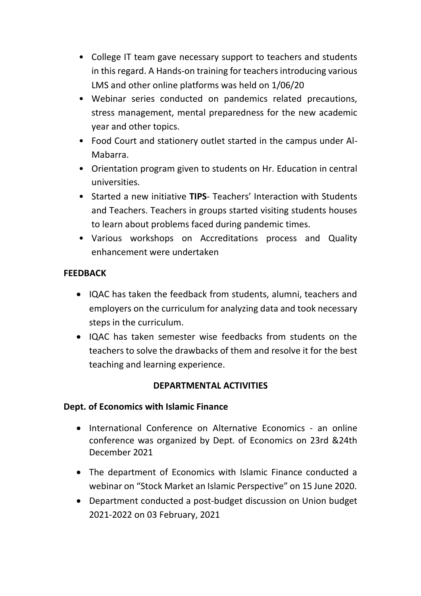- College IT team gave necessary support to teachers and students in this regard. A Hands-on training for teachers introducing various LMS and other online platforms was held on 1/06/20
- Webinar series conducted on pandemics related precautions, stress management, mental preparedness for the new academic year and other topics.
- Food Court and stationery outlet started in the campus under Al-Mabarra.
- Orientation program given to students on Hr. Education in central universities.
- Started a new initiative **TIPS** Teachers' Interaction with Students and Teachers. Teachers in groups started visiting students houses to learn about problems faced during pandemic times.
- Various workshops on Accreditations process and Quality enhancement were undertaken

## **FEEDBACK**

- IQAC has taken the feedback from students, alumni, teachers and employers on the curriculum for analyzing data and took necessary steps in the curriculum.
- IQAC has taken semester wise feedbacks from students on the teachers to solve the drawbacks of them and resolve it for the best teaching and learning experience.

## **DEPARTMENTAL ACTIVITIES**

#### **Dept. of Economics with Islamic Finance**

- International Conference on Alternative Economics an online conference was organized by Dept. of Economics on 23rd &24th December 2021
- The department of Economics with Islamic Finance conducted a webinar on "Stock Market an Islamic Perspective" on 15 June 2020.
- Department conducted a post-budget discussion on Union budget 2021-2022 on 03 February, 2021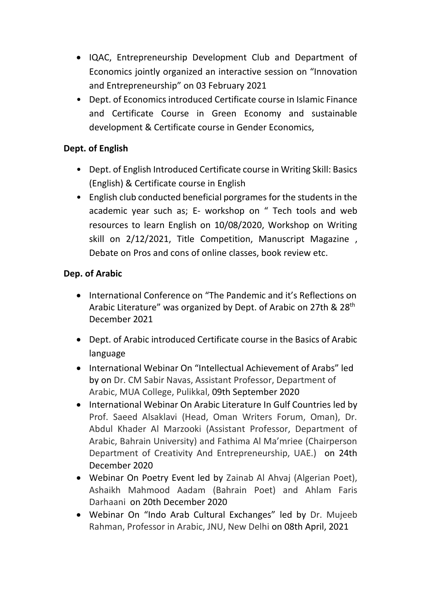- IQAC, Entrepreneurship Development Club and Department of Economics jointly organized an interactive session on "Innovation and Entrepreneurship" on 03 February 2021
- Dept. of Economics introduced Certificate course in Islamic Finance and Certificate Course in Green Economy and sustainable development & Certificate course in Gender Economics,

## **Dept. of English**

- Dept. of English Introduced Certificate course in Writing Skill: Basics (English) & Certificate course in English
- English club conducted beneficial porgrames for the students in the academic year such as; E- workshop on " Tech tools and web resources to learn English on 10/08/2020, Workshop on Writing skill on 2/12/2021, Title Competition, Manuscript Magazine , Debate on Pros and cons of online classes, book review etc.

## **Dep. of Arabic**

- International Conference on "The Pandemic and it's Reflections on Arabic Literature" was organized by Dept. of Arabic on 27th & 28th December 2021
- Dept. of Arabic introduced Certificate course in the Basics of Arabic language
- International Webinar On "Intellectual Achievement of Arabs" led by on Dr. CM Sabir Navas, Assistant Professor, Department of Arabic, MUA College, Pulikkal, 09th September 2020
- International Webinar On Arabic Literature In Gulf Countries led by Prof. Saeed Alsaklavi (Head, Oman Writers Forum, Oman), Dr. Abdul Khader Al Marzooki (Assistant Professor, Department of Arabic, Bahrain University) and Fathima Al Ma'mriee (Chairperson Department of Creativity And Entrepreneurship, UAE.) on 24th December 2020
- Webinar On Poetry Event led by Zainab Al Ahvaj (Algerian Poet), Ashaikh Mahmood Aadam (Bahrain Poet) and Ahlam Faris Darhaani on 20th December 2020
- Webinar On "Indo Arab Cultural Exchanges" led by Dr. Mujeeb Rahman, Professor in Arabic, JNU, New Delhi on 08th April, 2021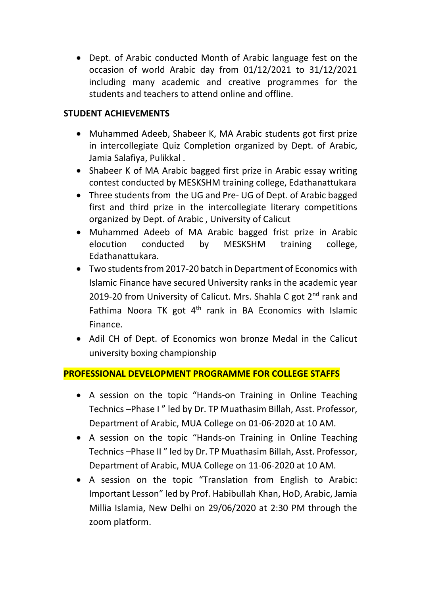Dept. of Arabic conducted Month of Arabic language fest on the occasion of world Arabic day from 01/12/2021 to 31/12/2021 including many academic and creative programmes for the students and teachers to attend online and offline.

#### **STUDENT ACHIEVEMENTS**

- Muhammed Adeeb, Shabeer K, MA Arabic students got first prize in intercollegiate Quiz Completion organized by Dept. of Arabic, Jamia Salafiya, Pulikkal .
- Shabeer K of MA Arabic bagged first prize in Arabic essay writing contest conducted by MESKSHM training college, Edathanattukara
- Three students from the UG and Pre- UG of Dept. of Arabic bagged first and third prize in the intercollegiate literary competitions organized by Dept. of Arabic , University of Calicut
- Muhammed Adeeb of MA Arabic bagged frist prize in Arabic elocution conducted by MESKSHM training college, Edathanattukara.
- Two students from 2017-20 batch in Department of Economics with Islamic Finance have secured University ranks in the academic year 2019-20 from University of Calicut. Mrs. Shahla C got  $2<sup>nd</sup>$  rank and Fathima Noora TK got  $4<sup>th</sup>$  rank in BA Economics with Islamic Finance.
- Adil CH of Dept. of Economics won bronze Medal in the Calicut university boxing championship

#### **PROFESSIONAL DEVELOPMENT PROGRAMME FOR COLLEGE STAFFS**

- A session on the topic "Hands-on Training in Online Teaching Technics –Phase I " led by Dr. TP Muathasim Billah, Asst. Professor, Department of Arabic, MUA College on 01-06-2020 at 10 AM.
- A session on the topic "Hands-on Training in Online Teaching Technics –Phase II " led by Dr. TP Muathasim Billah, Asst. Professor, Department of Arabic, MUA College on 11-06-2020 at 10 AM.
- A session on the topic "Translation from English to Arabic: Important Lesson" led by Prof. Habibullah Khan, HoD, Arabic, Jamia Millia Islamia, New Delhi on 29/06/2020 at 2:30 PM through the zoom platform.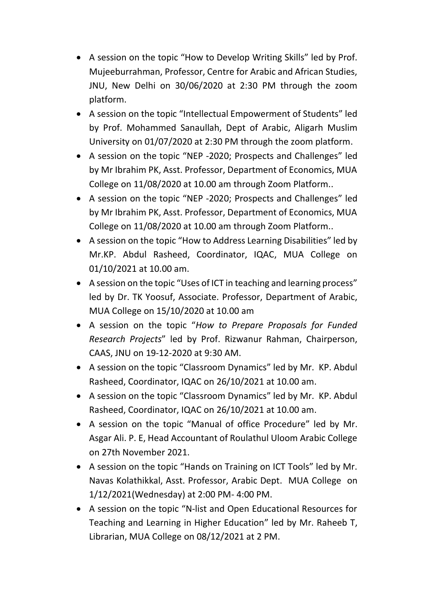- A session on the topic "How to Develop Writing Skills" led by Prof. Mujeeburrahman, Professor, Centre for Arabic and African Studies, JNU, New Delhi on 30/06/2020 at 2:30 PM through the zoom platform.
- A session on the topic "Intellectual Empowerment of Students" led by Prof. Mohammed Sanaullah, Dept of Arabic, Aligarh Muslim University on 01/07/2020 at 2:30 PM through the zoom platform.
- A session on the topic "NEP -2020; Prospects and Challenges" led by Mr Ibrahim PK, Asst. Professor, Department of Economics, MUA College on 11/08/2020 at 10.00 am through Zoom Platform..
- A session on the topic "NEP -2020; Prospects and Challenges" led by Mr Ibrahim PK, Asst. Professor, Department of Economics, MUA College on 11/08/2020 at 10.00 am through Zoom Platform..
- A session on the topic "How to Address Learning Disabilities" led by Mr.KP. Abdul Rasheed, Coordinator, IQAC, MUA College on 01/10/2021 at 10.00 am.
- A session on the topic "Uses of ICT in teaching and learning process" led by Dr. TK Yoosuf, Associate. Professor, Department of Arabic, MUA College on 15/10/2020 at 10.00 am
- A session on the topic "*How to Prepare Proposals for Funded Research Projects*" led by Prof. Rizwanur Rahman, Chairperson, CAAS, JNU on 19-12-2020 at 9:30 AM.
- A session on the topic "Classroom Dynamics" led by Mr. KP. Abdul Rasheed, Coordinator, IQAC on 26/10/2021 at 10.00 am.
- A session on the topic "Classroom Dynamics" led by Mr. KP. Abdul Rasheed, Coordinator, IQAC on 26/10/2021 at 10.00 am.
- A session on the topic "Manual of office Procedure" led by Mr. Asgar Ali. P. E, Head Accountant of Roulathul Uloom Arabic College on 27th November 2021.
- A session on the topic "Hands on Training on ICT Tools" led by Mr. Navas Kolathikkal, Asst. Professor, Arabic Dept. MUA College on 1/12/2021(Wednesday) at 2:00 PM- 4:00 PM.
- A session on the topic "N-list and Open Educational Resources for Teaching and Learning in Higher Education" led by Mr. Raheeb T, Librarian, MUA College on 08/12/2021 at 2 PM.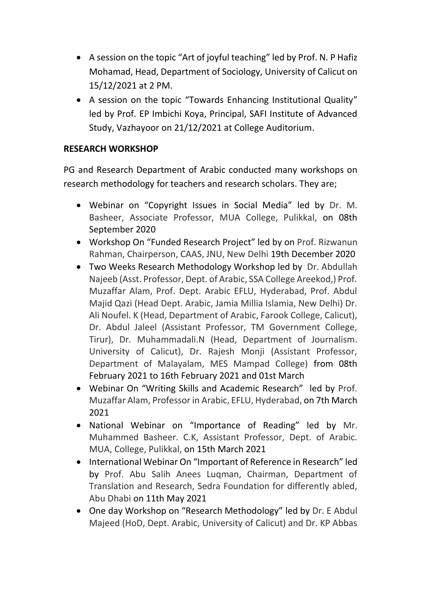- A session on the topic "Art of joyful teaching" led by Prof. N. P Hafiz Mohamad, Head, Department of Sociology, University of Calicut on 15/12/2021 at 2 PM.
- A session on the topic "Towards Enhancing Institutional Quality" led by Prof. EP Imbichi Koya, Principal, SAFI Institute of Advanced Study, Vazhayoor on 21/12/2021 at College Auditorium.

## **RESEARCH WORKSHOP**

PG and Research Department of Arabic conducted many workshops on research methodology for teachers and research scholars. They are;

- Webinar on "Copyright Issues in Social Media" led by Dr. M. Basheer, Associate Professor, MUA College, Pulikkal, on 08th September 2020
- Workshop On "Funded Research Project" led by on Prof. Rizwanun Rahman, Chairperson, CAAS, JNU, New Delhi 19th December 2020
- Two Weeks Research Methodology Workshop led by Dr. Abdullah Najeeb (Asst. Professor, Dept. of Arabic, SSA College Areekod,) Prof. Muzaffar Alam, Prof. Dept. Arabic EFLU, Hyderabad, Prof. Abdul Majid Qazi (Head Dept. Arabic, Jamia Millia Islamia, New Delhi) Dr. Ali Noufel. K (Head, Department of Arabic, Farook College, Calicut), Dr. Abdul Jaleel (Assistant Professor, TM Government College, Tirur), Dr. Muhammadali.N (Head, Department of Journalism. University of Calicut), Dr. Rajesh Monji (Assistant Professor, Department of Malayalam, MES Mampad College) from 08th February 2021 to 16th February 2021 and 01st March
- Webinar On "Writing Skills and Academic Research" led by Prof. Muzaffar Alam, Professor in Arabic, EFLU, Hyderabad, on 7th March 2021
- National Webinar on "Importance of Reading" led by Mr. Muhammed Basheer. C.K, Assistant Professor, Dept. of Arabic. MUA, College, Pulikkal, on 15th March 2021
- International Webinar On "Important of Reference in Research" led by Prof. Abu Salih Anees Luqman, Chairman, Department of Translation and Research, Sedra Foundation for differently abled, Abu Dhabi on 11th May 2021
- One day Workshop on "Research Methodology" led by Dr. E Abdul Majeed (HoD, Dept. Arabic, University of Calicut) and Dr. KP Abbas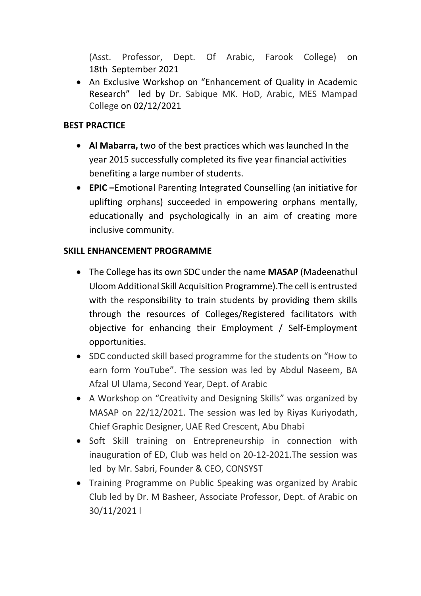(Asst. Professor, Dept. Of Arabic, Farook College) on 18th September 2021

 An Exclusive Workshop on "Enhancement of Quality in Academic Research" led by Dr. Sabique MK. HoD, Arabic, MES Mampad College on 02/12/2021

## **BEST PRACTICE**

- **Al Mabarra,** two of the best practices which was launched In the year 2015 successfully completed its five year financial activities benefiting a large number of students.
- **EPIC –**Emotional Parenting Integrated Counselling (an initiative for uplifting orphans) succeeded in empowering orphans mentally, educationally and psychologically in an aim of creating more inclusive community.

#### **SKILL ENHANCEMENT PROGRAMME**

- The College has its own SDC under the name **MASAP** (Madeenathul Uloom Additional Skill Acquisition Programme).The cell is entrusted with the responsibility to train students by providing them skills through the resources of Colleges/Registered facilitators with objective for enhancing their Employment / Self-Employment opportunities.
- SDC conducted skill based programme for the students on "How to earn form YouTube". The session was led by Abdul Naseem, BA Afzal Ul Ulama, Second Year, Dept. of Arabic
- A Workshop on "Creativity and Designing Skills" was organized by MASAP on 22/12/2021. The session was led by Riyas Kuriyodath, Chief Graphic Designer, UAE Red Crescent, Abu Dhabi
- Soft Skill training on Entrepreneurship in connection with inauguration of ED, Club was held on 20-12-2021.The session was led by Mr. Sabri, Founder & CEO, CONSYST
- Training Programme on Public Speaking was organized by Arabic Club led by Dr. M Basheer, Associate Professor, Dept. of Arabic on 30/11/2021 l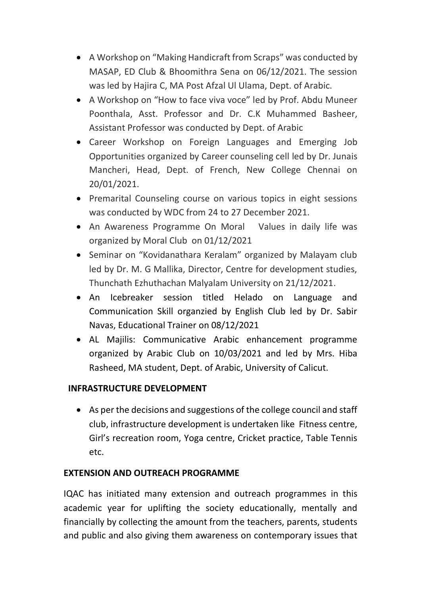- A Workshop on "Making Handicraft from Scraps" was conducted by MASAP, ED Club & Bhoomithra Sena on 06/12/2021. The session was led by Hajira C, MA Post Afzal Ul Ulama, Dept. of Arabic.
- A Workshop on "How to face viva voce" led by Prof. Abdu Muneer Poonthala, Asst. Professor and Dr. C.K Muhammed Basheer, Assistant Professor was conducted by Dept. of Arabic
- Career Workshop on Foreign Languages and Emerging Job Opportunities organized by Career counseling cell led by Dr. Junais Mancheri, Head, Dept. of French, New College Chennai on 20/01/2021.
- Premarital Counseling course on various topics in eight sessions was conducted by WDC from 24 to 27 December 2021.
- An Awareness Programme On Moral Values in daily life was organized by Moral Club on 01/12/2021
- Seminar on "Kovidanathara Keralam" organized by Malayam club led by Dr. M. G Mallika, Director, Centre for development studies, Thunchath Ezhuthachan Malyalam University on 21/12/2021.
- An Icebreaker session titled Helado on Language and Communication Skill organzied by English Club led by Dr. Sabir Navas, Educational Trainer on 08/12/2021
- AL Majilis: Communicative Arabic enhancement programme organized by Arabic Club on 10/03/2021 and led by Mrs. Hiba Rasheed, MA student, Dept. of Arabic, University of Calicut.

## **INFRASTRUCTURE DEVELOPMENT**

 As per the decisions and suggestions of the college council and staff club, infrastructure development is undertaken like Fitness centre, Girl's recreation room, Yoga centre, Cricket practice, Table Tennis etc.

#### **EXTENSION AND OUTREACH PROGRAMME**

IQAC has initiated many extension and outreach programmes in this academic year for uplifting the society educationally, mentally and financially by collecting the amount from the teachers, parents, students and public and also giving them awareness on contemporary issues that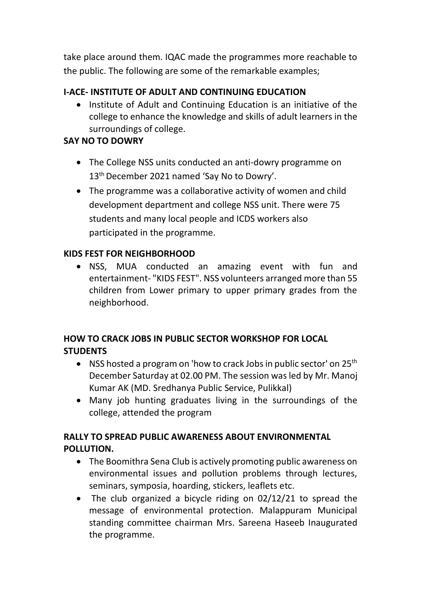take place around them. IQAC made the programmes more reachable to the public. The following are some of the remarkable examples;

#### **I-ACE- INSTITUTE OF ADULT AND CONTINUING EDUCATION**

• Institute of Adult and Continuing Education is an initiative of the college to enhance the knowledge and skills of adult learners in the surroundings of college.

#### **SAY NO TO DOWRY**

- The College NSS units conducted an anti-dowry programme on 13<sup>th</sup> December 2021 named 'Say No to Dowry'.
- The programme was a collaborative activity of women and child development department and college NSS unit. There were 75 students and many local people and ICDS workers also participated in the programme.

#### **KIDS FEST FOR NEIGHBORHOOD**

 NSS, MUA conducted an amazing event with fun and entertainment- "KIDS FEST". NSS volunteers arranged more than 55 children from Lower primary to upper primary grades from the neighborhood.

## **HOW TO CRACK JOBS IN PUBLIC SECTOR WORKSHOP FOR LOCAL STUDENTS**

- NSS hosted a program on 'how to crack Jobs in public sector' on  $25<sup>th</sup>$ December Saturday at 02.00 PM. The session was led by Mr. Manoj Kumar AK (MD. Sredhanya Public Service, Pulikkal)
- Many job hunting graduates living in the surroundings of the college, attended the program

## **RALLY TO SPREAD PUBLIC AWARENESS ABOUT ENVIRONMENTAL POLLUTION.**

- The Boomithra Sena Club is actively promoting public awareness on environmental issues and pollution problems through lectures, seminars, symposia, hoarding, stickers, leaflets etc.
- The club organized a bicycle riding on 02/12/21 to spread the message of environmental protection. Malappuram Municipal standing committee chairman Mrs. Sareena Haseeb Inaugurated the programme.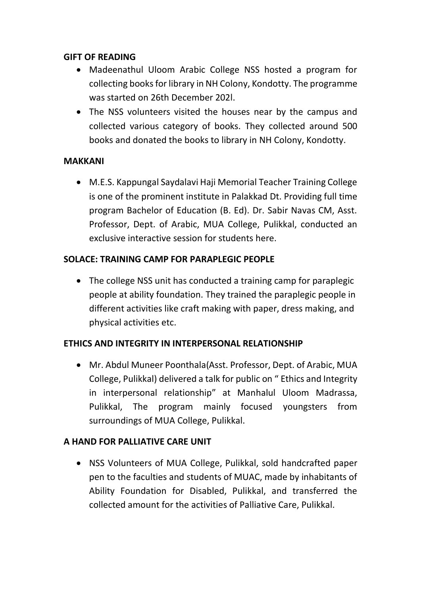#### **GIFT OF READING**

- Madeenathul Uloom Arabic College NSS hosted a program for collecting books for library in NH Colony, Kondotty. The programme was started on 26th December 202l.
- The NSS volunteers visited the houses near by the campus and collected various category of books. They collected around 500 books and donated the books to library in NH Colony, Kondotty.

#### **MAKKANI**

 M.E.S. Kappungal Saydalavi Haji Memorial Teacher Training College is one of the prominent institute in Palakkad Dt. Providing full time program Bachelor of Education (B. Ed). Dr. Sabir Navas CM, Asst. Professor, Dept. of Arabic, MUA College, Pulikkal, conducted an exclusive interactive session for students here.

#### **SOLACE: TRAINING CAMP FOR PARAPLEGIC PEOPLE**

• The college NSS unit has conducted a training camp for paraplegic people at ability foundation. They trained the paraplegic people in different activities like craft making with paper, dress making, and physical activities etc.

## **ETHICS AND INTEGRITY IN INTERPERSONAL RELATIONSHIP**

 Mr. Abdul Muneer Poonthala(Asst. Professor, Dept. of Arabic, MUA College, Pulikkal) delivered a talk for public on " Ethics and Integrity in interpersonal relationship" at Manhalul Uloom Madrassa, Pulikkal, The program mainly focused youngsters from surroundings of MUA College, Pulikkal.

#### **A HAND FOR PALLIATIVE CARE UNIT**

 NSS Volunteers of MUA College, Pulikkal, sold handcrafted paper pen to the faculties and students of MUAC, made by inhabitants of Ability Foundation for Disabled, Pulikkal, and transferred the collected amount for the activities of Palliative Care, Pulikkal.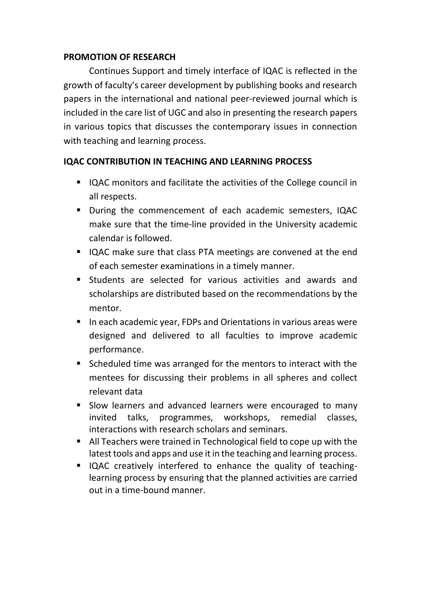#### **PROMOTION OF RESEARCH**

Continues Support and timely interface of IQAC is reflected in the growth of faculty's career development by publishing books and research papers in the international and national peer-reviewed journal which is included in the care list of UGC and also in presenting the research papers in various topics that discusses the contemporary issues in connection with teaching and learning process.

#### **IQAC CONTRIBUTION IN TEACHING AND LEARNING PROCESS**

- IQAC monitors and facilitate the activities of the College council in all respects.
- During the commencement of each academic semesters, IQAC make sure that the time-line provided in the University academic calendar is followed.
- IQAC make sure that class PTA meetings are convened at the end of each semester examinations in a timely manner.
- Students are selected for various activities and awards and scholarships are distributed based on the recommendations by the mentor.
- In each academic year, FDPs and Orientations in various areas were designed and delivered to all faculties to improve academic performance.
- Scheduled time was arranged for the mentors to interact with the mentees for discussing their problems in all spheres and collect relevant data
- Slow learners and advanced learners were encouraged to many invited talks, programmes, workshops, remedial classes, interactions with research scholars and seminars.
- All Teachers were trained in Technological field to cope up with the latest tools and apps and use it in the teaching and learning process.
- IQAC creatively interfered to enhance the quality of teachinglearning process by ensuring that the planned activities are carried out in a time-bound manner.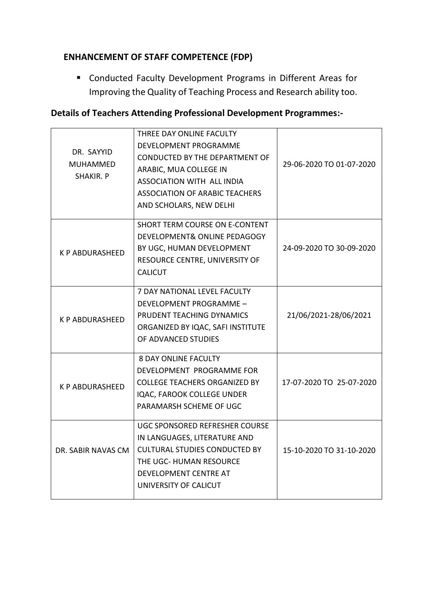## **ENHANCEMENT OF STAFF COMPETENCE (FDP)**

 Conducted Faculty Development Programs in Different Areas for Improving the Quality of Teaching Process and Research ability too.

#### **Details of Teachers Attending Professional Development Programmes:-**

| DR. SAYYID<br>MUHAMMED<br>SHAKIR. P | THREE DAY ONLINE FACULTY<br><b>DEVELOPMENT PROGRAMME</b><br>CONDUCTED BY THE DEPARTMENT OF<br>ARABIC, MUA COLLEGE IN<br><b>ASSOCIATION WITH ALL INDIA</b><br><b>ASSOCIATION OF ARABIC TEACHERS</b><br>AND SCHOLARS, NEW DELHI | 29-06-2020 TO 01-07-2020 |
|-------------------------------------|-------------------------------------------------------------------------------------------------------------------------------------------------------------------------------------------------------------------------------|--------------------------|
| K P ABDURASHEED                     | <b>SHORT TERM COURSE ON E-CONTENT</b><br>DEVELOPMENT& ONLINE PEDAGOGY<br>BY UGC, HUMAN DEVELOPMENT<br>RESOURCE CENTRE, UNIVERSITY OF<br><b>CALICUT</b>                                                                        | 24-09-2020 TO 30-09-2020 |
| <b>K P ABDURASHEED</b>              | 7 DAY NATIONAL LEVEL FACULTY<br>DEVELOPMENT PROGRAMME -<br>PRUDENT TEACHING DYNAMICS<br>ORGANIZED BY IQAC, SAFI INSTITUTE<br>OF ADVANCED STUDIES                                                                              | 21/06/2021-28/06/2021    |
| <b>K P ABDURASHEED</b>              | <b>8 DAY ONLINE FACULTY</b><br>DEVELOPMENT PROGRAMME FOR<br><b>COLLEGE TEACHERS ORGANIZED BY</b><br>IQAC, FAROOK COLLEGE UNDER<br>PARAMARSH SCHEME OF UGC                                                                     | 17-07-2020 TO 25-07-2020 |
| DR. SABIR NAVAS CM                  | UGC SPONSORED REFRESHER COURSE<br>IN LANGUAGES, LITERATURE AND<br><b>CULTURAL STUDIES CONDUCTED BY</b><br>THE UGC- HUMAN RESOURCE<br>DEVELOPMENT CENTRE AT<br>UNIVERSITY OF CALICUT                                           | 15-10-2020 TO 31-10-2020 |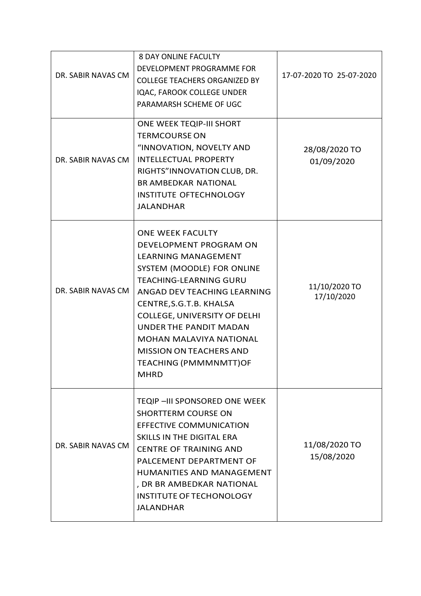| DR. SABIR NAVAS CM | <b>8 DAY ONLINE FACULTY</b><br>DEVELOPMENT PROGRAMME FOR<br><b>COLLEGE TEACHERS ORGANIZED BY</b><br>IQAC, FAROOK COLLEGE UNDER<br>PARAMARSH SCHEME OF UGC                                                                                                                                                                                                                                                  | 17-07-2020 TO 25-07-2020    |
|--------------------|------------------------------------------------------------------------------------------------------------------------------------------------------------------------------------------------------------------------------------------------------------------------------------------------------------------------------------------------------------------------------------------------------------|-----------------------------|
| DR. SABIR NAVAS CM | ONE WEEK TEQIP-III SHORT<br><b>TERMCOURSE ON</b><br>"INNOVATION, NOVELTY AND<br><b>INTELLECTUAL PROPERTY</b><br>RIGHTS"INNOVATION CLUB, DR.<br><b>BR AMBEDKAR NATIONAL</b><br><b>INSTITUTE OFTECHNOLOGY</b><br><b>JALANDHAR</b>                                                                                                                                                                            | 28/08/2020 TO<br>01/09/2020 |
| DR. SABIR NAVAS CM | <b>ONE WEEK FACULTY</b><br><b>DEVELOPMENT PROGRAM ON</b><br><b>LEARNING MANAGEMENT</b><br>SYSTEM (MOODLE) FOR ONLINE<br><b>TEACHING-LEARNING GURU</b><br>ANGAD DEV TEACHING LEARNING<br>CENTRE, S.G.T.B. KHALSA<br><b>COLLEGE, UNIVERSITY OF DELHI</b><br><b>UNDER THE PANDIT MADAN</b><br><b>MOHAN MALAVIYA NATIONAL</b><br><b>MISSION ON TEACHERS AND</b><br><b>TEACHING (PMMMNMTT)OF</b><br><b>MHRD</b> | 11/10/2020 TO<br>17/10/2020 |
| DR. SABIR NAVAS CM | TEQIP - III SPONSORED ONE WEEK<br><b>SHORTTERM COURSE ON</b><br><b>EFFECTIVE COMMUNICATION</b><br>SKILLS IN THE DIGITAL ERA<br><b>CENTRE OF TRAINING AND</b><br>PALCEMENT DEPARTMENT OF<br>HUMANITIES AND MANAGEMENT<br>, DR BR AMBEDKAR NATIONAL<br><b>INSTITUTE OF TECHONOLOGY</b><br><b>JALANDHAR</b>                                                                                                   | 11/08/2020 TO<br>15/08/2020 |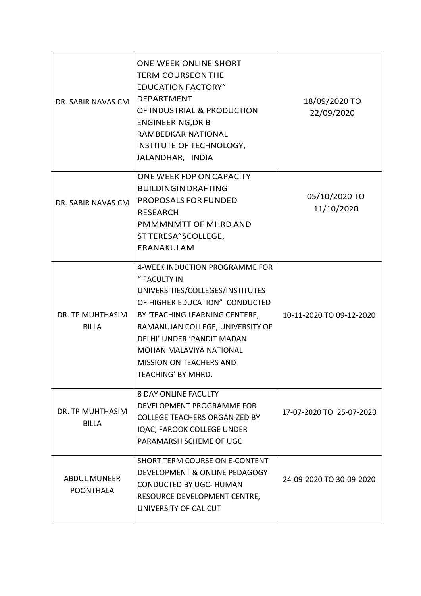| DR. SABIR NAVAS CM                      | ONE WEEK ONLINE SHORT<br><b>TERM COURSEON THE</b><br><b>EDUCATION FACTORY"</b><br><b>DEPARTMENT</b><br>OF INDUSTRIAL & PRODUCTION<br><b>ENGINEERING, DR B</b><br><b>RAMBEDKAR NATIONAL</b><br>INSTITUTE OF TECHNOLOGY,<br>JALANDHAR, INDIA                                                                         | 18/09/2020 TO<br>22/09/2020 |
|-----------------------------------------|--------------------------------------------------------------------------------------------------------------------------------------------------------------------------------------------------------------------------------------------------------------------------------------------------------------------|-----------------------------|
| DR. SABIR NAVAS CM                      | ONE WEEK FDP ON CAPACITY<br><b>BUILDINGIN DRAFTING</b><br><b>PROPOSALS FOR FUNDED</b><br><b>RESEARCH</b><br>PMMMNMTT OF MHRD AND<br>ST TERESA"SCOLLEGE,<br>ERANAKULAM                                                                                                                                              | 05/10/2020 TO<br>11/10/2020 |
| DR. TP MUHTHASIM<br><b>BILLA</b>        | 4-WEEK INDUCTION PROGRAMME FOR<br>" FACULTY IN<br>UNIVERSITIES/COLLEGES/INSTITUTES<br>OF HIGHER EDUCATION" CONDUCTED<br>BY 'TEACHING LEARNING CENTERE,<br>RAMANUJAN COLLEGE, UNIVERSITY OF<br>DELHI' UNDER 'PANDIT MADAN<br><b>MOHAN MALAVIYA NATIONAL</b><br><b>MISSION ON TEACHERS AND</b><br>TEACHING' BY MHRD. | 10-11-2020 TO 09-12-2020    |
| DR. TP MUHTHASIM<br><b>BILLA</b>        | <b>8 DAY ONLINE FACULTY</b><br>DEVELOPMENT PROGRAMME FOR<br><b>COLLEGE TEACHERS ORGANIZED BY</b><br>IQAC, FAROOK COLLEGE UNDER<br>PARAMARSH SCHEME OF UGC                                                                                                                                                          | 17-07-2020 TO 25-07-2020    |
| <b>ABDUL MUNEER</b><br><b>POONTHALA</b> | SHORT TERM COURSE ON E-CONTENT<br>DEVELOPMENT & ONLINE PEDAGOGY<br><b>CONDUCTED BY UGC- HUMAN</b><br>RESOURCE DEVELOPMENT CENTRE,<br>UNIVERSITY OF CALICUT                                                                                                                                                         | 24-09-2020 TO 30-09-2020    |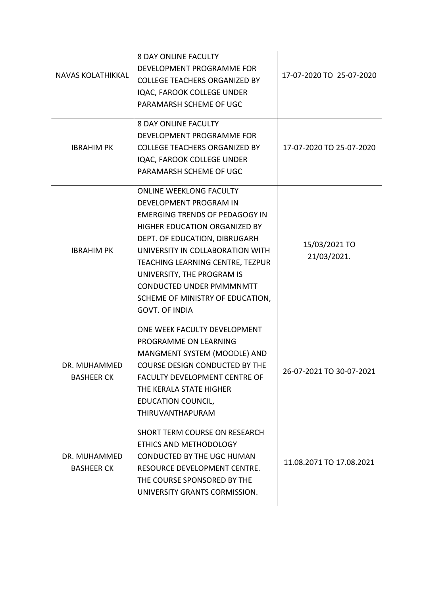| <b>NAVAS KOLATHIKKAL</b>          | <b>8 DAY ONLINE FACULTY</b><br>DEVELOPMENT PROGRAMME FOR<br><b>COLLEGE TEACHERS ORGANIZED BY</b><br>IQAC, FAROOK COLLEGE UNDER<br>PARAMARSH SCHEME OF UGC                                                                                                                                                                                                                        | 17-07-2020 TO 25-07-2020     |
|-----------------------------------|----------------------------------------------------------------------------------------------------------------------------------------------------------------------------------------------------------------------------------------------------------------------------------------------------------------------------------------------------------------------------------|------------------------------|
| <b>IBRAHIM PK</b>                 | <b>8 DAY ONLINE FACULTY</b><br>DEVELOPMENT PROGRAMME FOR<br><b>COLLEGE TEACHERS ORGANIZED BY</b><br>IQAC, FAROOK COLLEGE UNDER<br>PARAMARSH SCHEME OF UGC                                                                                                                                                                                                                        | 17-07-2020 TO 25-07-2020     |
| <b>IBRAHIM PK</b>                 | <b>ONLINE WEEKLONG FACULTY</b><br><b>DEVELOPMENT PROGRAM IN</b><br><b>EMERGING TRENDS OF PEDAGOGY IN</b><br>HIGHER EDUCATION ORGANIZED BY<br>DEPT. OF EDUCATION, DIBRUGARH<br>UNIVERSITY IN COLLABORATION WITH<br>TEACHING LEARNING CENTRE, TEZPUR<br>UNIVERSITY, THE PROGRAM IS<br><b>CONDUCTED UNDER PMMMMMTT</b><br>SCHEME OF MINISTRY OF EDUCATION,<br><b>GOVT. OF INDIA</b> | 15/03/2021 TO<br>21/03/2021. |
| DR. MUHAMMED<br><b>BASHEER CK</b> | ONE WEEK FACULTY DEVELOPMENT<br>PROGRAMME ON LEARNING<br>MANGMENT SYSTEM (MOODLE) AND<br>COURSE DESIGN CONDUCTED BY THE<br><b>FACULTY DEVELOPMENT CENTRE OF</b><br>THE KERALA STATE HIGHER<br><b>EDUCATION COUNCIL,</b><br>THIRUVANTHAPURAM                                                                                                                                      | 26-07-2021 TO 30-07-2021     |
| DR. MUHAMMED<br><b>BASHEER CK</b> | SHORT TERM COURSE ON RESEARCH<br>ETHICS AND METHODOLOGY<br><b>CONDUCTED BY THE UGC HUMAN</b><br>RESOURCE DEVELOPMENT CENTRE.<br>THE COURSE SPONSORED BY THE<br>UNIVERSITY GRANTS CORMISSION.                                                                                                                                                                                     | 11.08.2071 TO 17.08.2021     |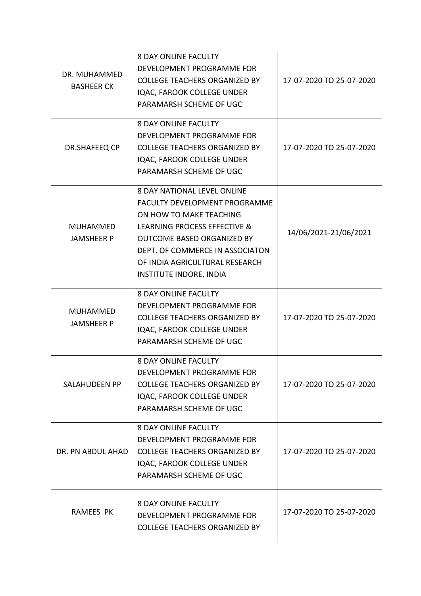| DR. MUHAMMED<br><b>BASHEER CK</b>    | <b>8 DAY ONLINE FACULTY</b><br>DEVELOPMENT PROGRAMME FOR<br><b>COLLEGE TEACHERS ORGANIZED BY</b><br>IQAC, FAROOK COLLEGE UNDER<br>PARAMARSH SCHEME OF UGC                                                                                                                         | 17-07-2020 TO 25-07-2020 |
|--------------------------------------|-----------------------------------------------------------------------------------------------------------------------------------------------------------------------------------------------------------------------------------------------------------------------------------|--------------------------|
| DR.SHAFEEQ CP                        | <b>8 DAY ONLINE FACULTY</b><br>DEVELOPMENT PROGRAMME FOR<br><b>COLLEGE TEACHERS ORGANIZED BY</b><br>IQAC, FAROOK COLLEGE UNDER<br>PARAMARSH SCHEME OF UGC                                                                                                                         | 17-07-2020 TO 25-07-2020 |
| <b>MUHAMMED</b><br><b>JAMSHEER P</b> | <b>8 DAY NATIONAL LEVEL ONLINE</b><br><b>FACULTY DEVELOPMENT PROGRAMME</b><br>ON HOW TO MAKE TEACHING<br>LEARNING PROCESS EFFECTIVE &<br><b>OUTCOME BASED ORGANIZED BY</b><br>DEPT. OF COMMERCE IN ASSOCIATON<br>OF INDIA AGRICULTURAL RESEARCH<br><b>INSTITUTE INDORE, INDIA</b> | 14/06/2021-21/06/2021    |
| <b>MUHAMMED</b><br><b>JAMSHEER P</b> | <b>8 DAY ONLINE FACULTY</b><br>DEVELOPMENT PROGRAMME FOR<br><b>COLLEGE TEACHERS ORGANIZED BY</b><br>IQAC, FAROOK COLLEGE UNDER<br>PARAMARSH SCHEME OF UGC                                                                                                                         | 17-07-2020 TO 25-07-2020 |
| SALAHUDEEN PP                        | <b>8 DAY ONLINE FACULTY</b><br>DEVELOPMENT PROGRAMME FOR<br><b>COLLEGE TEACHERS ORGANIZED BY</b><br>IQAC, FAROOK COLLEGE UNDER<br>PARAMARSH SCHEME OF UGC                                                                                                                         | 17-07-2020 TO 25-07-2020 |
| DR. PN ABDUL AHAD                    | <b>8 DAY ONLINE FACULTY</b><br>DEVELOPMENT PROGRAMME FOR<br><b>COLLEGE TEACHERS ORGANIZED BY</b><br>IQAC, FAROOK COLLEGE UNDER<br>PARAMARSH SCHEME OF UGC                                                                                                                         | 17-07-2020 TO 25-07-2020 |
| <b>RAMEES PK</b>                     | <b>8 DAY ONLINE FACULTY</b><br>DEVELOPMENT PROGRAMME FOR<br><b>COLLEGE TEACHERS ORGANIZED BY</b>                                                                                                                                                                                  | 17-07-2020 TO 25-07-2020 |